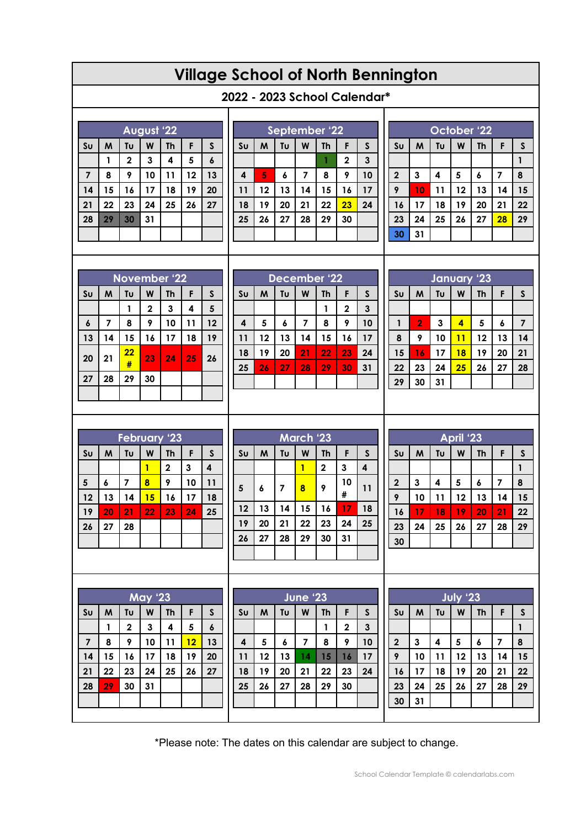## **Village School of North Bennington**

## **2022 - 2023 School Calendar\***

|                | <b>August '22</b> |             |    |    |    |                  |  |  |  |  |
|----------------|-------------------|-------------|----|----|----|------------------|--|--|--|--|
| S <sub>U</sub> | M                 | Tυ          | W  | Th | F  | $\mathsf{s}$     |  |  |  |  |
|                | 1                 | $\mathbf 2$ | 3  | 4  | 5  | $\boldsymbol{6}$ |  |  |  |  |
| $\overline{7}$ | 8                 | 9           | 10 | 11 | 12 | 13               |  |  |  |  |
| 14             | 15                | 16          | 17 | 18 | 19 | 20               |  |  |  |  |
| 21             | 22                | 23          | 24 | 25 | 26 | 27               |  |  |  |  |
| 28             | 29                | 30          | 31 |    |    |                  |  |  |  |  |
|                |                   |             |    |    |    |                  |  |  |  |  |

| September '22           |    |    |    |    |              |    |  |  |
|-------------------------|----|----|----|----|--------------|----|--|--|
| S <sub>U</sub>          | M  | Tυ | W  | Th | F            | S  |  |  |
|                         |    |    |    |    | $\mathbf{2}$ | 3  |  |  |
| $\overline{\mathbf{4}}$ | 5  | 6  | 7  | 8  | 9            | 10 |  |  |
| 11                      | 12 | 13 | 14 | 15 | 16           | 17 |  |  |
| 18                      | 19 | 20 | 21 | 22 | 23           | 24 |  |  |
| 25                      | 26 | 27 | 28 | 29 | 30           |    |  |  |
|                         |    |    |    |    |              |    |  |  |

|                | October '22 |    |    |           |    |    |  |  |  |
|----------------|-------------|----|----|-----------|----|----|--|--|--|
| S <sub>U</sub> | M           | Tυ | W  | <b>Th</b> | F  | S  |  |  |  |
|                |             |    |    |           |    |    |  |  |  |
| $\mathbf 2$    | 3           | 4  | 5  | 6         | 7  | 8  |  |  |  |
| 9              | 10          | 11 | 12 | 13        | 14 | 15 |  |  |  |
| 16             | 17          | 18 | 19 | 20        | 21 | 22 |  |  |  |
| 23             | 24          | 25 | 26 | 27        | 28 | 29 |  |  |  |
| 30             | 31          |    |    |           |    |    |  |  |  |

| November <sup>1</sup> 22 |    |         |             |           |    |              |  |  |  |
|--------------------------|----|---------|-------------|-----------|----|--------------|--|--|--|
| S <sub>U</sub>           | M  | Tυ      | W           | <b>Th</b> | F  | $\mathsf{s}$ |  |  |  |
|                          |    | 1       | $\mathbf 2$ | 3         | 4  | 5            |  |  |  |
| 6                        | 7  | 8       | 9           | 10        | 11 | 12           |  |  |  |
| 13                       | 14 | 15      | 16          | 17        | 18 | 19           |  |  |  |
| 20                       | 21 | 22<br># | 23          | 24        | 25 | 26           |  |  |  |
| 27                       | 28 | 29      | 30          |           |    |              |  |  |  |
|                          |    |         |             |           |    |              |  |  |  |

|                | December '22 |    |    |    |             |    |  |  |  |
|----------------|--------------|----|----|----|-------------|----|--|--|--|
| S <sub>U</sub> | W            | Tυ | W  | Th | F           | S  |  |  |  |
|                |              |    |    | 1  | $\mathbf 2$ | 3  |  |  |  |
| 4              | 5            | 6  | 7  | 8  | 9           | 10 |  |  |  |
| 11             | 12           | 13 | 14 | 15 | 16          | 17 |  |  |  |
| 18             | 19           | 20 | 21 | 22 | 23          | 24 |  |  |  |
| 25             | 26           | 27 | 28 | 29 | 30          | 31 |  |  |  |
|                |              |    |    |    |             |    |  |  |  |

| January '23    |                |    |                         |           |    |              |  |  |  |
|----------------|----------------|----|-------------------------|-----------|----|--------------|--|--|--|
| S <sub>U</sub> | M              | Tυ | W                       | <b>Th</b> | F  | $\mathsf{s}$ |  |  |  |
|                |                |    |                         |           |    |              |  |  |  |
| 1              | $\overline{2}$ | 3  | $\overline{\mathbf{A}}$ | 5         | 6  | 7            |  |  |  |
| 8              | 9              | 10 | 11                      | 12        | 13 | 14           |  |  |  |
| 15             | 16             | 17 | 18                      | 19        | 20 | 21           |  |  |  |
| 22             | 23             | 24 | 25                      | 26        | 27 | 28           |  |  |  |
| 29             | 30             | 31 |                         |           |    |              |  |  |  |

|                | <b>February '23</b> |                |    |           |    |              |  |  |  |  |
|----------------|---------------------|----------------|----|-----------|----|--------------|--|--|--|--|
| S <sub>U</sub> | M                   | Tυ             | W  | <b>Th</b> | F  | $\mathsf{s}$ |  |  |  |  |
|                |                     |                |    | 2         | 3  | 4            |  |  |  |  |
| 5              | 6                   | $\overline{7}$ | 8  | 9         | 10 | 11           |  |  |  |  |
| 12             | 13                  | 14             | 15 | 16        | 17 | 18           |  |  |  |  |
| 19             | 20                  | 21             | 22 | 23        | 24 | 25           |  |  |  |  |
| 26             | 27                  | 28             |    |           |    |              |  |  |  |  |
|                |                     |                |    |           |    |              |  |  |  |  |

| March 23               |    |    |    |             |         |              |  |  |  |
|------------------------|----|----|----|-------------|---------|--------------|--|--|--|
| $\mathsf{S}\mathsf{u}$ | M  | Tυ | W  | <b>Th</b>   | F       | $\mathsf{s}$ |  |  |  |
|                        |    |    | 1  | $\mathbf 2$ | 3       | 4            |  |  |  |
| 5                      | 6  | 7  | 8  | 9           | 10<br># | 11           |  |  |  |
| 12                     | 13 | 14 | 15 | 16          | 17      | 18           |  |  |  |
| 19                     | 20 | 21 | 22 | 23          | 24      | 25           |  |  |  |
| 26                     | 27 | 28 | 29 | 30          | 31      |              |  |  |  |
|                        |    |    |    |             |         |              |  |  |  |

| April '23      |    |    |    |                  |    |              |  |  |
|----------------|----|----|----|------------------|----|--------------|--|--|
| S <sub>U</sub> | M  | Tυ | W  | <b>Th</b>        | F  | $\mathsf{s}$ |  |  |
|                |    |    |    |                  |    |              |  |  |
| $\mathbf 2$    | 3  | 4  | 5  | $\boldsymbol{6}$ | 7  | 8            |  |  |
| 9              | 10 | 11 | 12 | 13               | 14 | 15           |  |  |
| 16             | 17 | 18 | 19 | 20               | 21 | 22           |  |  |
| 23             | 24 | 25 | 26 | 27               | 28 | 29           |  |  |
| 30             |    |    |    |                  |    |              |  |  |

 $\mathsf{I}$ 

| <b>May '23</b> |    |             |    |           |    |    |  |  |  |
|----------------|----|-------------|----|-----------|----|----|--|--|--|
| S <sub>U</sub> | M  | Tυ          | W  | <b>Th</b> | F  | S  |  |  |  |
|                | 1  | $\mathbf 2$ | 3  | 4         | 5  | 6  |  |  |  |
| $\overline{7}$ | 8  | 9           | 10 | 11        | 12 | 13 |  |  |  |
| 14             | 15 | 16          | 17 | 18        | 19 | 20 |  |  |  |
| 21             | 22 | 23          | 24 | 25        | 26 | 27 |  |  |  |
| 28             | 29 | 30          | 31 |           |    |    |  |  |  |
|                |    |             |    |           |    |    |  |  |  |

|                | June '23 |    |    |           |             |              |  |  |
|----------------|----------|----|----|-----------|-------------|--------------|--|--|
| S <sub>U</sub> | M        | Tυ | W  | <b>Th</b> | F           | $\mathsf{s}$ |  |  |
|                |          |    |    | 1         | $\mathbf 2$ | $\mathbf{3}$ |  |  |
| 4              | 5        | 6  | 7  | 8         | 9           | 10           |  |  |
| 11             | 12       | 13 | 14 | 15        | 16          | 17           |  |  |
| 18             | 19       | 20 | 21 | 22        | 23          | 24           |  |  |
| 25             | 26       | 27 | 28 | 29        | 30          |              |  |  |
|                |          |    |    |           |             |              |  |  |
|                |          |    |    |           |             |              |  |  |

|                |    |    | <b>July '23</b> |           |                |              |
|----------------|----|----|-----------------|-----------|----------------|--------------|
| S <sub>U</sub> | M  | Tυ | W               | <b>Th</b> | F              | $\mathsf{s}$ |
|                |    |    |                 |           |                | 1            |
| $\mathbf 2$    | 3  | 4  | 5               | 6         | $\overline{7}$ | 8            |
| 9              | 10 | 11 | 12              | 13        | 14             | 15           |
| 16             | 17 | 18 | 19              | 20        | 21             | 22           |
| 23             | 24 | 25 | 26              | 27        | 28             | 29           |
| 30             | 31 |    |                 |           |                |              |

\*Please note: The dates on this calendar are subject to change.